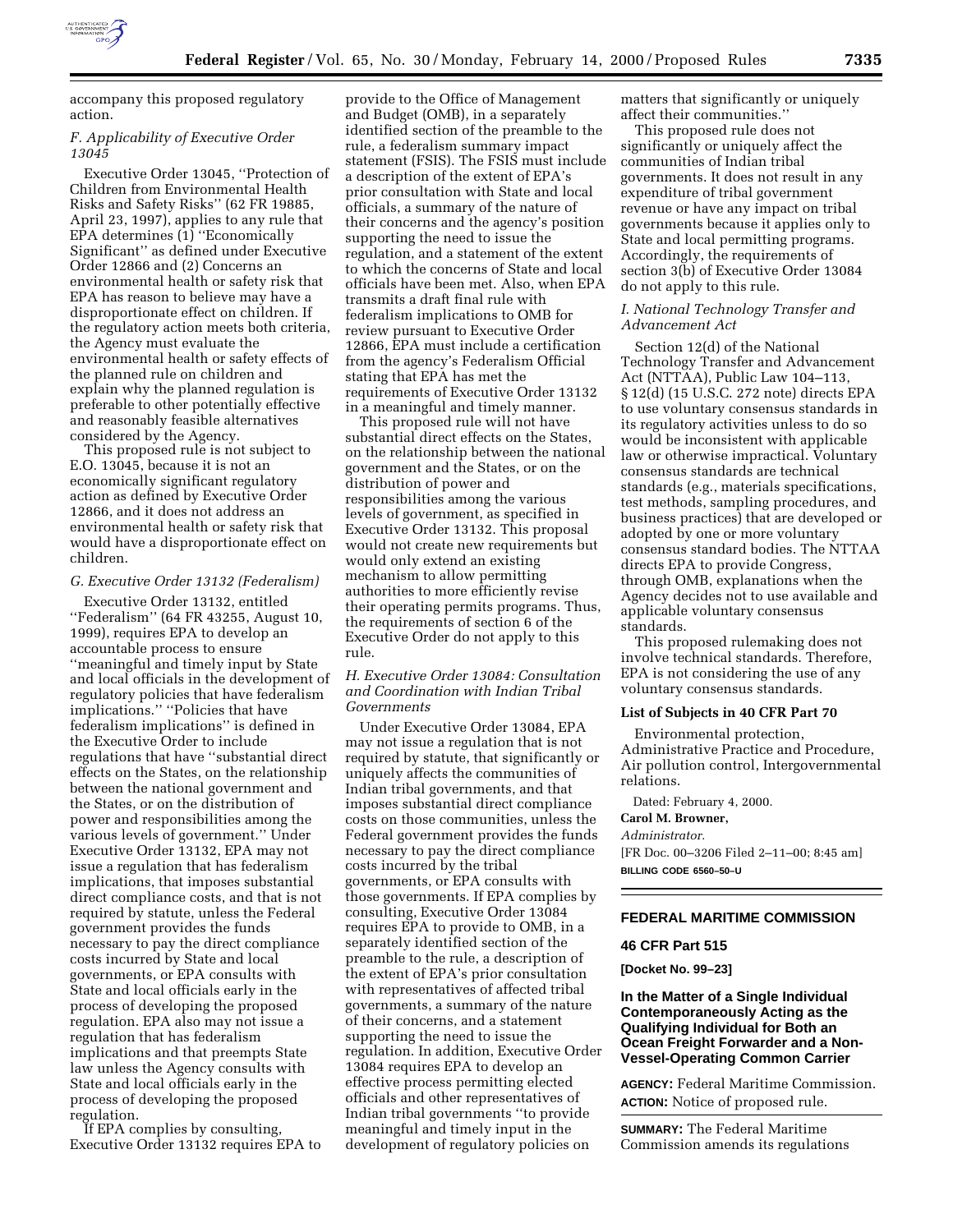

accompany this proposed regulatory action.

### *F. Applicability of Executive Order 13045*

Executive Order 13045, ''Protection of Children from Environmental Health Risks and Safety Risks'' (62 FR 19885, April 23, 1997), applies to any rule that EPA determines (1) "Economically Significant'' as defined under Executive Order 12866 and (2) Concerns an environmental health or safety risk that EPA has reason to believe may have a disproportionate effect on children. If the regulatory action meets both criteria, the Agency must evaluate the environmental health or safety effects of the planned rule on children and explain why the planned regulation is preferable to other potentially effective and reasonably feasible alternatives considered by the Agency.

This proposed rule is not subject to E.O. 13045, because it is not an economically significant regulatory action as defined by Executive Order 12866, and it does not address an environmental health or safety risk that would have a disproportionate effect on children.

#### *G. Executive Order 13132 (Federalism)*

Executive Order 13132, entitled ''Federalism'' (64 FR 43255, August 10, 1999), requires EPA to develop an accountable process to ensure ''meaningful and timely input by State and local officials in the development of regulatory policies that have federalism implications.'' ''Policies that have federalism implications'' is defined in the Executive Order to include regulations that have ''substantial direct effects on the States, on the relationship between the national government and the States, or on the distribution of power and responsibilities among the various levels of government.'' Under Executive Order 13132, EPA may not issue a regulation that has federalism implications, that imposes substantial direct compliance costs, and that is not required by statute, unless the Federal government provides the funds necessary to pay the direct compliance costs incurred by State and local governments, or EPA consults with State and local officials early in the process of developing the proposed regulation. EPA also may not issue a regulation that has federalism implications and that preempts State law unless the Agency consults with State and local officials early in the process of developing the proposed regulation.

If EPA complies by consulting, Executive Order 13132 requires EPA to

provide to the Office of Management and Budget (OMB), in a separately identified section of the preamble to the rule, a federalism summary impact statement (FSIS). The FSIS must include a description of the extent of EPA's prior consultation with State and local officials, a summary of the nature of their concerns and the agency's position supporting the need to issue the regulation, and a statement of the extent to which the concerns of State and local officials have been met. Also, when EPA transmits a draft final rule with federalism implications to OMB for review pursuant to Executive Order 12866, EPA must include a certification from the agency's Federalism Official stating that EPA has met the requirements of Executive Order 13132 in a meaningful and timely manner.

This proposed rule will not have substantial direct effects on the States, on the relationship between the national government and the States, or on the distribution of power and responsibilities among the various levels of government, as specified in Executive Order 13132. This proposal would not create new requirements but would only extend an existing mechanism to allow permitting authorities to more efficiently revise their operating permits programs. Thus, the requirements of section 6 of the Executive Order do not apply to this rule.

*H. Executive Order 13084: Consultation and Coordination with Indian Tribal Governments*

Under Executive Order 13084, EPA may not issue a regulation that is not required by statute, that significantly or uniquely affects the communities of Indian tribal governments, and that imposes substantial direct compliance costs on those communities, unless the Federal government provides the funds necessary to pay the direct compliance costs incurred by the tribal governments, or EPA consults with those governments. If EPA complies by consulting, Executive Order 13084 requires EPA to provide to OMB, in a separately identified section of the preamble to the rule, a description of the extent of EPA's prior consultation with representatives of affected tribal governments, a summary of the nature of their concerns, and a statement supporting the need to issue the regulation. In addition, Executive Order 13084 requires EPA to develop an effective process permitting elected officials and other representatives of Indian tribal governments ''to provide meaningful and timely input in the development of regulatory policies on

matters that significantly or uniquely affect their communities.''

This proposed rule does not significantly or uniquely affect the communities of Indian tribal governments. It does not result in any expenditure of tribal government revenue or have any impact on tribal governments because it applies only to State and local permitting programs. Accordingly, the requirements of section 3(b) of Executive Order 13084 do not apply to this rule.

## *I. National Technology Transfer and Advancement Act*

Section 12(d) of the National Technology Transfer and Advancement Act (NTTAA), Public Law 104–113, § 12(d) (15 U.S.C. 272 note) directs EPA to use voluntary consensus standards in its regulatory activities unless to do so would be inconsistent with applicable law or otherwise impractical. Voluntary consensus standards are technical standards (e.g., materials specifications, test methods, sampling procedures, and business practices) that are developed or adopted by one or more voluntary consensus standard bodies. The NTTAA directs EPA to provide Congress, through OMB, explanations when the Agency decides not to use available and applicable voluntary consensus standards.

This proposed rulemaking does not involve technical standards. Therefore, EPA is not considering the use of any voluntary consensus standards.

#### **List of Subjects in 40 CFR Part 70**

Environmental protection, Administrative Practice and Procedure, Air pollution control, Intergovernmental relations.

Dated: February 4, 2000. **Carol M. Browner,**

#### *Administrator.*

[FR Doc. 00–3206 Filed 2–11–00; 8:45 am] **BILLING CODE 6560–50–U**

#### **FEDERAL MARITIME COMMISSION**

#### **46 CFR Part 515**

**[Docket No. 99–23]**

**In the Matter of a Single Individual Contemporaneously Acting as the Qualifying Individual for Both an Ocean Freight Forwarder and a Non-Vessel-Operating Common Carrier**

**AGENCY:** Federal Maritime Commission. **ACTION:** Notice of proposed rule.

**SUMMARY:** The Federal Maritime Commission amends its regulations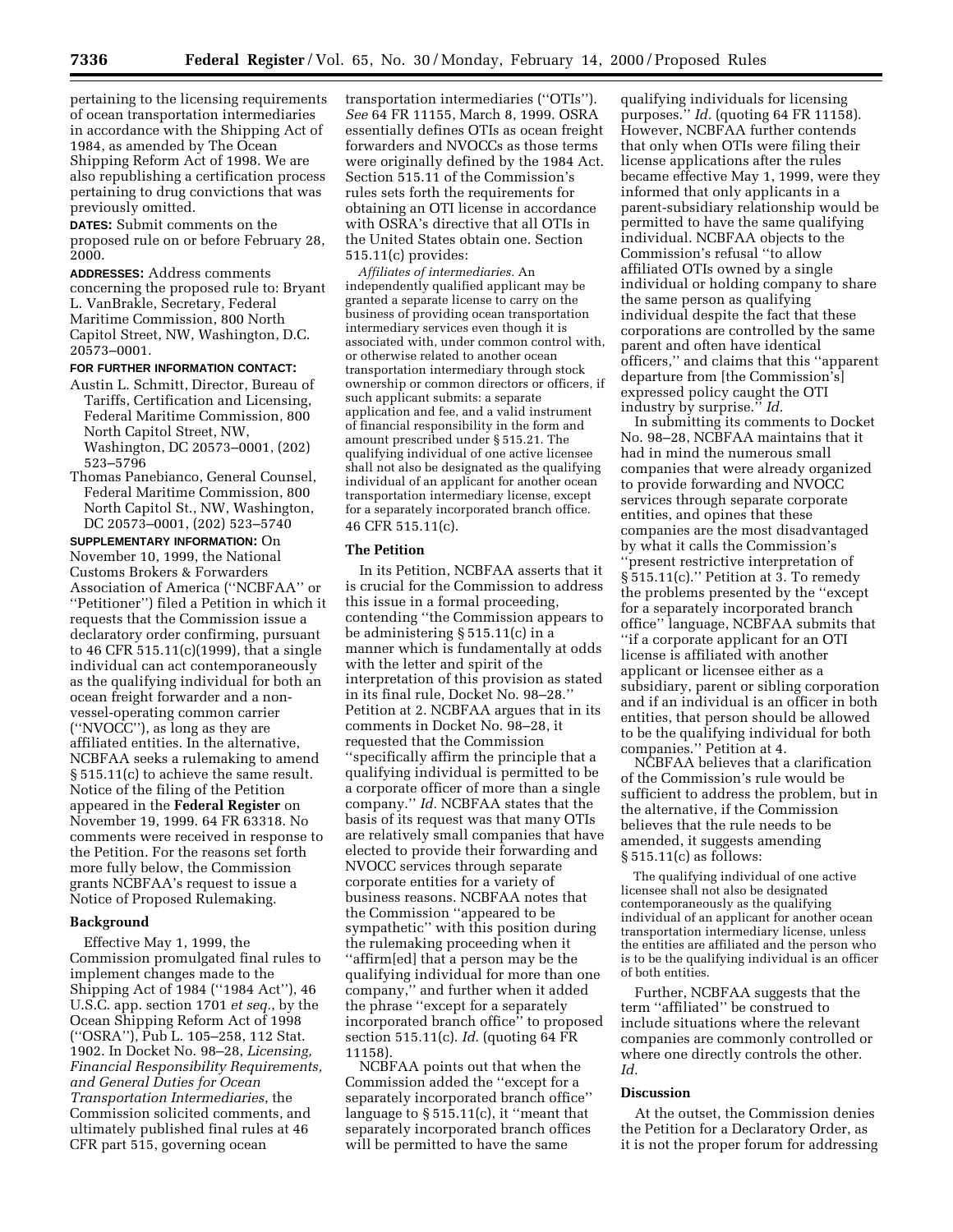pertaining to the licensing requirements of ocean transportation intermediaries in accordance with the Shipping Act of 1984, as amended by The Ocean Shipping Reform Act of 1998. We are also republishing a certification process pertaining to drug convictions that was previously omitted.

**DATES:** Submit comments on the proposed rule on or before February 28, 2000.

**ADDRESSES:** Address comments concerning the proposed rule to: Bryant L. VanBrakle, Secretary, Federal Maritime Commission, 800 North Capitol Street, NW, Washington, D.C. 20573–0001.

#### **FOR FURTHER INFORMATION CONTACT:**

- Austin L. Schmitt, Director, Bureau of Tariffs, Certification and Licensing, Federal Maritime Commission, 800 North Capitol Street, NW, Washington, DC 20573–0001, (202) 523–5796
- Thomas Panebianco, General Counsel, Federal Maritime Commission, 800 North Capitol St., NW, Washington, DC 20573–0001, (202) 523–5740

**SUPPLEMENTARY INFORMATION:** On November 10, 1999, the National Customs Brokers & Forwarders Association of America (''NCBFAA'' or ''Petitioner'') filed a Petition in which it requests that the Commission issue a declaratory order confirming, pursuant to 46 CFR 515.11(c)(1999), that a single individual can act contemporaneously as the qualifying individual for both an ocean freight forwarder and a nonvessel-operating common carrier (''NVOCC''), as long as they are affiliated entities. In the alternative, NCBFAA seeks a rulemaking to amend § 515.11(c) to achieve the same result. Notice of the filing of the Petition appeared in the **Federal Register** on November 19, 1999. 64 FR 63318. No comments were received in response to the Petition. For the reasons set forth more fully below, the Commission grants NCBFAA's request to issue a Notice of Proposed Rulemaking.

#### **Background**

Effective May 1, 1999, the Commission promulgated final rules to implement changes made to the Shipping Act of 1984 (''1984 Act''), 46 U.S.C. app. section 1701 *et seq.*, by the Ocean Shipping Reform Act of 1998 (''OSRA''), Pub L. 105–258, 112 Stat. 1902. In Docket No. 98–28, *Licensing, Financial Responsibility Requirements, and General Duties for Ocean Transportation Intermediaries*, the Commission solicited comments, and ultimately published final rules at 46 CFR part 515, governing ocean

transportation intermediaries (''OTIs''). *See* 64 FR 11155, March 8, 1999. OSRA essentially defines OTIs as ocean freight forwarders and NVOCCs as those terms were originally defined by the 1984 Act. Section 515.11 of the Commission's rules sets forth the requirements for obtaining an OTI license in accordance with OSRA's directive that all OTIs in the United States obtain one. Section 515.11(c) provides:

*Affiliates of intermediaries.* An independently qualified applicant may be granted a separate license to carry on the business of providing ocean transportation intermediary services even though it is associated with, under common control with, or otherwise related to another ocean transportation intermediary through stock ownership or common directors or officers, if such applicant submits: a separate application and fee, and a valid instrument of financial responsibility in the form and amount prescribed under § 515.21. The qualifying individual of one active licensee shall not also be designated as the qualifying individual of an applicant for another ocean transportation intermediary license, except for a separately incorporated branch office. 46 CFR 515.11(c).

### **The Petition**

In its Petition, NCBFAA asserts that it is crucial for the Commission to address this issue in a formal proceeding, contending ''the Commission appears to be administering § 515.11(c) in a manner which is fundamentally at odds with the letter and spirit of the interpretation of this provision as stated in its final rule, Docket No. 98–28.'' Petition at 2. NCBFAA argues that in its comments in Docket No. 98–28, it requested that the Commission ''specifically affirm the principle that a qualifying individual is permitted to be a corporate officer of more than a single company.'' *Id.* NCBFAA states that the basis of its request was that many OTIs are relatively small companies that have elected to provide their forwarding and NVOCC services through separate corporate entities for a variety of business reasons. NCBFAA notes that the Commission ''appeared to be sympathetic'' with this position during the rulemaking proceeding when it ''affirm[ed] that a person may be the qualifying individual for more than one company,'' and further when it added the phrase ''except for a separately incorporated branch office'' to proposed section 515.11(c). *Id.* (quoting 64 FR 11158).

NCBFAA points out that when the Commission added the ''except for a separately incorporated branch office'' language to § 515.11(c), it ''meant that separately incorporated branch offices will be permitted to have the same

qualifying individuals for licensing purposes.'' *Id.* (quoting 64 FR 11158). However, NCBFAA further contends that only when OTIs were filing their license applications after the rules became effective May 1, 1999, were they informed that only applicants in a parent-subsidiary relationship would be permitted to have the same qualifying individual. NCBFAA objects to the Commission's refusal ''to allow affiliated OTIs owned by a single individual or holding company to share the same person as qualifying individual despite the fact that these corporations are controlled by the same parent and often have identical officers,'' and claims that this ''apparent departure from [the Commission's] expressed policy caught the OTI industry by surprise.'' *Id.*

In submitting its comments to Docket No. 98–28, NCBFAA maintains that it had in mind the numerous small companies that were already organized to provide forwarding and NVOCC services through separate corporate entities, and opines that these companies are the most disadvantaged by what it calls the Commission's ''present restrictive interpretation of § 515.11(c).'' Petition at 3. To remedy the problems presented by the ''except for a separately incorporated branch office'' language, NCBFAA submits that ''if a corporate applicant for an OTI license is affiliated with another applicant or licensee either as a subsidiary, parent or sibling corporation and if an individual is an officer in both entities, that person should be allowed to be the qualifying individual for both companies.'' Petition at 4.

NCBFAA believes that a clarification of the Commission's rule would be sufficient to address the problem, but in the alternative, if the Commission believes that the rule needs to be amended, it suggests amending § 515.11(c) as follows:

The qualifying individual of one active licensee shall not also be designated contemporaneously as the qualifying individual of an applicant for another ocean transportation intermediary license, unless the entities are affiliated and the person who is to be the qualifying individual is an officer of both entities.

Further, NCBFAA suggests that the term ''affiliated'' be construed to include situations where the relevant companies are commonly controlled or where one directly controls the other. *Id.*

## **Discussion**

At the outset, the Commission denies the Petition for a Declaratory Order, as it is not the proper forum for addressing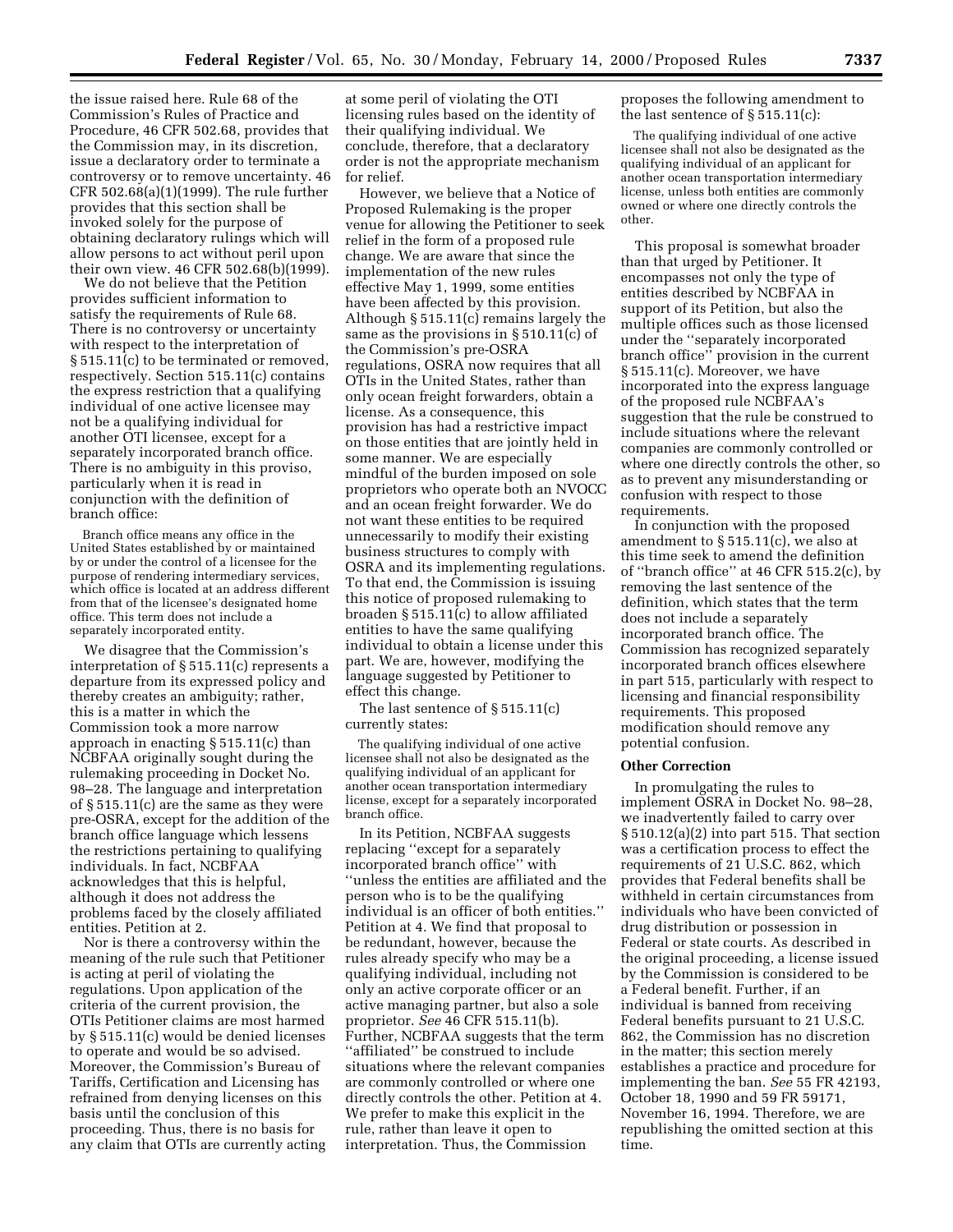the issue raised here. Rule 68 of the Commission's Rules of Practice and Procedure, 46 CFR 502.68, provides that the Commission may, in its discretion, issue a declaratory order to terminate a controversy or to remove uncertainty. 46 CFR 502.68(a)(1)(1999). The rule further provides that this section shall be invoked solely for the purpose of obtaining declaratory rulings which will allow persons to act without peril upon their own view. 46 CFR 502.68(b)(1999).

We do not believe that the Petition provides sufficient information to satisfy the requirements of Rule 68. There is no controversy or uncertainty with respect to the interpretation of § 515.11(c) to be terminated or removed, respectively. Section 515.11(c) contains the express restriction that a qualifying individual of one active licensee may not be a qualifying individual for another OTI licensee, except for a separately incorporated branch office. There is no ambiguity in this proviso, particularly when it is read in conjunction with the definition of branch office:

Branch office means any office in the United States established by or maintained by or under the control of a licensee for the purpose of rendering intermediary services, which office is located at an address different from that of the licensee's designated home office. This term does not include a separately incorporated entity.

We disagree that the Commission's interpretation of § 515.11(c) represents a departure from its expressed policy and thereby creates an ambiguity; rather, this is a matter in which the Commission took a more narrow approach in enacting § 515.11(c) than NCBFAA originally sought during the rulemaking proceeding in Docket No. 98–28. The language and interpretation of § 515.11(c) are the same as they were pre-OSRA, except for the addition of the branch office language which lessens the restrictions pertaining to qualifying individuals. In fact, NCBFAA acknowledges that this is helpful, although it does not address the problems faced by the closely affiliated entities. Petition at 2.

Nor is there a controversy within the meaning of the rule such that Petitioner is acting at peril of violating the regulations. Upon application of the criteria of the current provision, the OTIs Petitioner claims are most harmed by § 515.11(c) would be denied licenses to operate and would be so advised. Moreover, the Commission's Bureau of Tariffs, Certification and Licensing has refrained from denying licenses on this basis until the conclusion of this proceeding. Thus, there is no basis for any claim that OTIs are currently acting at some peril of violating the OTI licensing rules based on the identity of their qualifying individual. We conclude, therefore, that a declaratory order is not the appropriate mechanism for relief.

However, we believe that a Notice of Proposed Rulemaking is the proper venue for allowing the Petitioner to seek relief in the form of a proposed rule change. We are aware that since the implementation of the new rules effective May 1, 1999, some entities have been affected by this provision. Although § 515.11(c) remains largely the same as the provisions in § 510.11(c) of the Commission's pre-OSRA regulations, OSRA now requires that all OTIs in the United States, rather than only ocean freight forwarders, obtain a license. As a consequence, this provision has had a restrictive impact on those entities that are jointly held in some manner. We are especially mindful of the burden imposed on sole proprietors who operate both an NVOCC and an ocean freight forwarder. We do not want these entities to be required unnecessarily to modify their existing business structures to comply with OSRA and its implementing regulations. To that end, the Commission is issuing this notice of proposed rulemaking to broaden § 515.11(c) to allow affiliated entities to have the same qualifying individual to obtain a license under this part. We are, however, modifying the language suggested by Petitioner to effect this change.

The last sentence of § 515.11(c) currently states:

The qualifying individual of one active licensee shall not also be designated as the qualifying individual of an applicant for another ocean transportation intermediary license, except for a separately incorporated branch office.

In its Petition, NCBFAA suggests replacing ''except for a separately incorporated branch office'' with ''unless the entities are affiliated and the person who is to be the qualifying individual is an officer of both entities.'' Petition at 4. We find that proposal to be redundant, however, because the rules already specify who may be a qualifying individual, including not only an active corporate officer or an active managing partner, but also a sole proprietor. *See* 46 CFR 515.11(b). Further, NCBFAA suggests that the term ''affiliated'' be construed to include situations where the relevant companies are commonly controlled or where one directly controls the other. Petition at 4. We prefer to make this explicit in the rule, rather than leave it open to interpretation. Thus, the Commission

proposes the following amendment to the last sentence of § 515.11(c):

The qualifying individual of one active licensee shall not also be designated as the qualifying individual of an applicant for another ocean transportation intermediary license, unless both entities are commonly owned or where one directly controls the other.

This proposal is somewhat broader than that urged by Petitioner. It encompasses not only the type of entities described by NCBFAA in support of its Petition, but also the multiple offices such as those licensed under the ''separately incorporated branch office'' provision in the current § 515.11(c). Moreover, we have incorporated into the express language of the proposed rule NCBFAA's suggestion that the rule be construed to include situations where the relevant companies are commonly controlled or where one directly controls the other, so as to prevent any misunderstanding or confusion with respect to those requirements.

In conjunction with the proposed amendment to § 515.11(c), we also at this time seek to amend the definition of ''branch office'' at 46 CFR 515.2(c), by removing the last sentence of the definition, which states that the term does not include a separately incorporated branch office. The Commission has recognized separately incorporated branch offices elsewhere in part 515, particularly with respect to licensing and financial responsibility requirements. This proposed modification should remove any potential confusion.

#### **Other Correction**

In promulgating the rules to implement OSRA in Docket No. 98–28, we inadvertently failed to carry over § 510.12(a)(2) into part 515. That section was a certification process to effect the requirements of 21 U.S.C. 862, which provides that Federal benefits shall be withheld in certain circumstances from individuals who have been convicted of drug distribution or possession in Federal or state courts. As described in the original proceeding, a license issued by the Commission is considered to be a Federal benefit. Further, if an individual is banned from receiving Federal benefits pursuant to 21 U.S.C. 862, the Commission has no discretion in the matter; this section merely establishes a practice and procedure for implementing the ban. *See* 55 FR 42193, October 18, 1990 and 59 FR 59171, November 16, 1994. Therefore, we are republishing the omitted section at this time.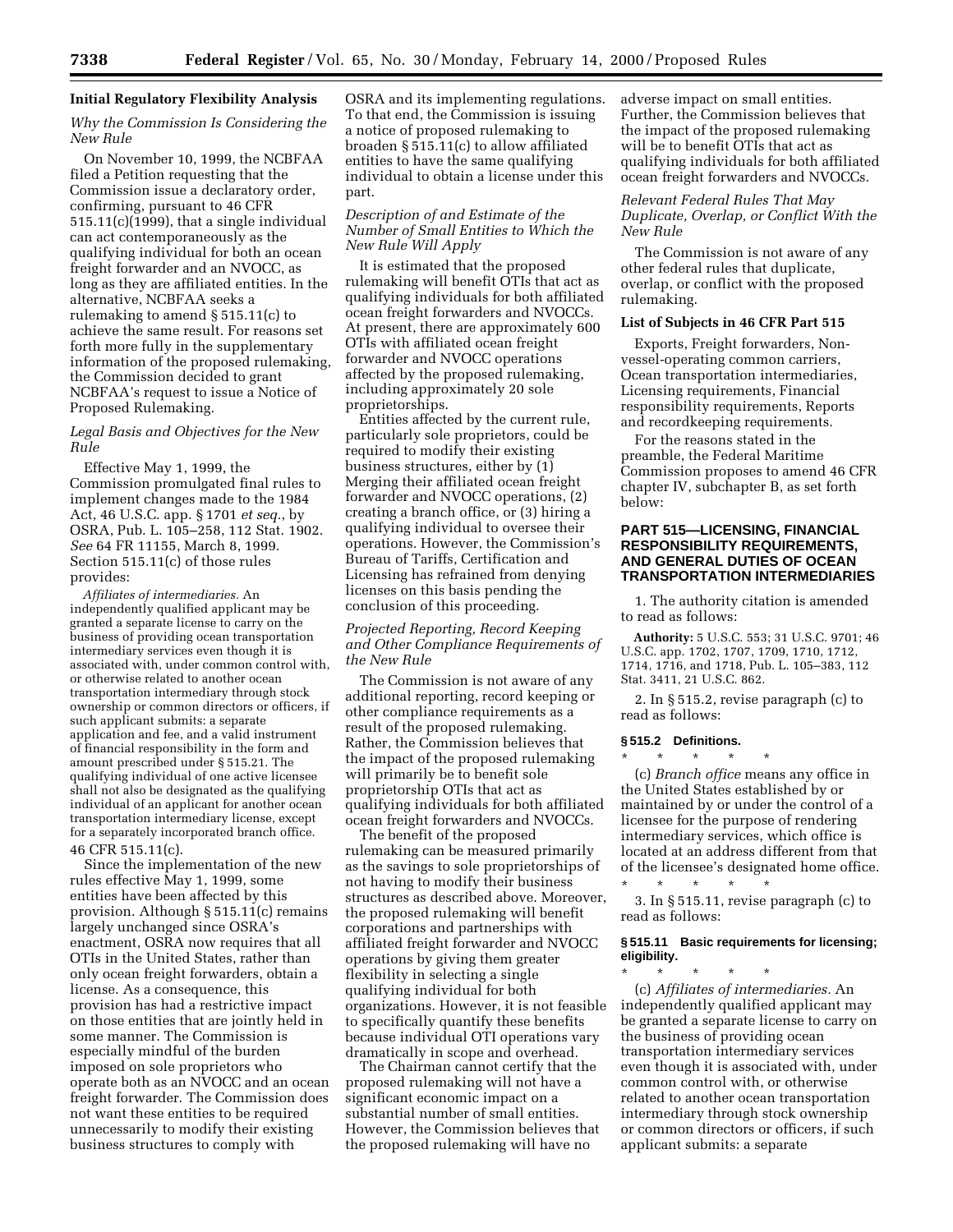### **Initial Regulatory Flexibility Analysis**

## *Why the Commission Is Considering the New Rule*

On November 10, 1999, the NCBFAA filed a Petition requesting that the Commission issue a declaratory order, confirming, pursuant to 46 CFR 515.11(c)(1999), that a single individual can act contemporaneously as the qualifying individual for both an ocean freight forwarder and an NVOCC, as long as they are affiliated entities. In the alternative, NCBFAA seeks a rulemaking to amend § 515.11(c) to achieve the same result. For reasons set forth more fully in the supplementary information of the proposed rulemaking, the Commission decided to grant NCBFAA's request to issue a Notice of Proposed Rulemaking.

## *Legal Basis and Objectives for the New Rule*

Effective May 1, 1999, the Commission promulgated final rules to implement changes made to the 1984 Act, 46 U.S.C. app. § 1701 *et seq.*, by OSRA, Pub. L. 105–258, 112 Stat. 1902. *See* 64 FR 11155, March 8, 1999. Section 515.11(c) of those rules provides:

*Affiliates of intermediaries.* An independently qualified applicant may be granted a separate license to carry on the business of providing ocean transportation intermediary services even though it is associated with, under common control with, or otherwise related to another ocean transportation intermediary through stock ownership or common directors or officers, if such applicant submits: a separate application and fee, and a valid instrument of financial responsibility in the form and amount prescribed under § 515.21. The qualifying individual of one active licensee shall not also be designated as the qualifying individual of an applicant for another ocean transportation intermediary license, except for a separately incorporated branch office. 46 CFR 515.11(c).

Since the implementation of the new rules effective May 1, 1999, some entities have been affected by this provision. Although § 515.11(c) remains largely unchanged since OSRA's enactment, OSRA now requires that all OTIs in the United States, rather than only ocean freight forwarders, obtain a license. As a consequence, this provision has had a restrictive impact on those entities that are jointly held in some manner. The Commission is especially mindful of the burden imposed on sole proprietors who operate both as an NVOCC and an ocean freight forwarder. The Commission does not want these entities to be required unnecessarily to modify their existing business structures to comply with

OSRA and its implementing regulations. To that end, the Commission is issuing a notice of proposed rulemaking to broaden § 515.11(c) to allow affiliated entities to have the same qualifying individual to obtain a license under this part.

## *Description of and Estimate of the Number of Small Entities to Which the New Rule Will Apply*

It is estimated that the proposed rulemaking will benefit OTIs that act as qualifying individuals for both affiliated ocean freight forwarders and NVOCCs. At present, there are approximately 600 OTIs with affiliated ocean freight forwarder and NVOCC operations affected by the proposed rulemaking, including approximately 20 sole proprietorships.

Entities affected by the current rule, particularly sole proprietors, could be required to modify their existing business structures, either by (1) Merging their affiliated ocean freight forwarder and NVOCC operations, (2) creating a branch office, or (3) hiring a qualifying individual to oversee their operations. However, the Commission's Bureau of Tariffs, Certification and Licensing has refrained from denying licenses on this basis pending the conclusion of this proceeding.

# *Projected Reporting, Record Keeping and Other Compliance Requirements of the New Rule*

The Commission is not aware of any additional reporting, record keeping or other compliance requirements as a result of the proposed rulemaking. Rather, the Commission believes that the impact of the proposed rulemaking will primarily be to benefit sole proprietorship OTIs that act as qualifying individuals for both affiliated ocean freight forwarders and NVOCCs.

The benefit of the proposed rulemaking can be measured primarily as the savings to sole proprietorships of not having to modify their business structures as described above. Moreover, the proposed rulemaking will benefit corporations and partnerships with affiliated freight forwarder and NVOCC operations by giving them greater flexibility in selecting a single qualifying individual for both organizations. However, it is not feasible to specifically quantify these benefits because individual OTI operations vary dramatically in scope and overhead.

The Chairman cannot certify that the proposed rulemaking will not have a significant economic impact on a substantial number of small entities. However, the Commission believes that the proposed rulemaking will have no

adverse impact on small entities. Further, the Commission believes that the impact of the proposed rulemaking will be to benefit OTIs that act as qualifying individuals for both affiliated ocean freight forwarders and NVOCCs.

## *Relevant Federal Rules That May Duplicate, Overlap, or Conflict With the New Rule*

The Commission is not aware of any other federal rules that duplicate, overlap, or conflict with the proposed rulemaking.

## **List of Subjects in 46 CFR Part 515**

Exports, Freight forwarders, Nonvessel-operating common carriers, Ocean transportation intermediaries, Licensing requirements, Financial responsibility requirements, Reports and recordkeeping requirements.

For the reasons stated in the preamble, the Federal Maritime Commission proposes to amend 46 CFR chapter IV, subchapter B, as set forth below:

## **PART 515—LICENSING, FINANCIAL RESPONSIBILITY REQUIREMENTS, AND GENERAL DUTIES OF OCEAN TRANSPORTATION INTERMEDIARIES**

1. The authority citation is amended to read as follows:

**Authority:** 5 U.S.C. 553; 31 U.S.C. 9701; 46 U.S.C. app. 1702, 1707, 1709, 1710, 1712, 1714, 1716, and 1718, Pub. L. 105–383, 112 Stat. 3411, 21 U.S.C. 862.

2. In § 515.2, revise paragraph (c) to read as follows:

#### **§ 515.2 Definitions.**

\* \* \* \* \*

\* \* \* \* \* (c) *Branch office* means any office in the United States established by or maintained by or under the control of a licensee for the purpose of rendering intermediary services, which office is located at an address different from that of the licensee's designated home office.

3. In § 515.11, revise paragraph (c) to read as follows:

### **§ 515.11 Basic requirements for licensing; eligibility.**

\* \* \* \* \* (c) *Affiliates of intermediaries.* An independently qualified applicant may be granted a separate license to carry on the business of providing ocean transportation intermediary services even though it is associated with, under common control with, or otherwise related to another ocean transportation intermediary through stock ownership or common directors or officers, if such applicant submits: a separate